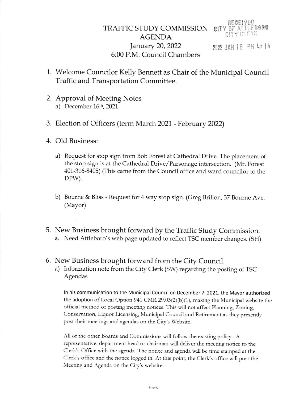2022 JAN 18 PM 4: 14

- 1. Welcome Councilor Kelly Bennett as Chair of the Municipal Council Traffic and Transportation Comrnittee.
- 2. Approval of Meeting Notes a) December  $16<sup>th</sup>$ , 2021
- 3. Election of Officers (term March 2021 February 2022)
- 4. Old Business:
	- a) Request for stop sign from Bob Forest at Cathedral Drive. The placement of the stop sign is at the Cathedral Drive/ Parsonage intersection. (Mr. Forest 401-316-8405) (This came from the Council office and ward councilor to the DPW).
	- b) Bourne & Bliss Request for 4 way stop sign. (Greg Brillon, 37 Bourne Ave (Mayor)
- 5. New Business brought forward by the Traffic Study Commission. a. Need Attleboro's web page updated to reflect TSC member changes. (SH)
- 6. New Business brought forward from the City Council.
	- a) Information note from the City Clerk (SW) regarding the posting of TSC Agendas

In his communication to the Municipal Council on December 7, 2021, the Mayor authorized the adoption of Local Option 940 CMR 29.03(2)(b)(1), making the Municipal website the ofFrcial mcthod of posting meeting notices.'I'his will not affcct Planning, Zoning, Conservation, Liquor Licensing, Municipal Council and Retirement as they presently post their meetings and agendas on the City's Website.

All of the other Boards and Commissions will follow the existing policy . A representative, department head or chairman will deliver the meeting notice to the Clerk's Officc with the agenda. The notice and agenda will be time stamped at the Clerk's office and the noticc logged in. At this pornt, the Clerk's officc will post the Meeting and Agenda on the City's website.

Internal